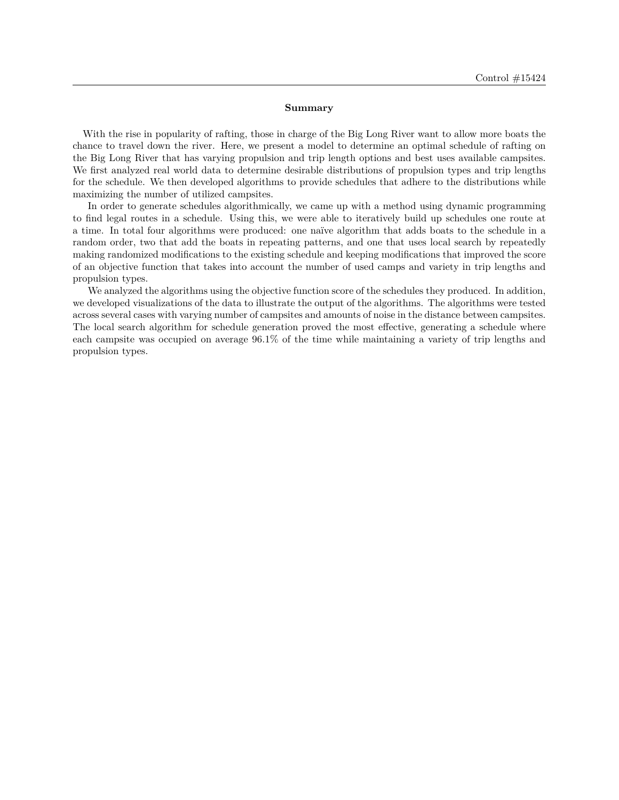#### **Summary**

With the rise in popularity of rafting, those in charge of the Big Long River want to allow more boats the chance to travel down the river. Here, we present a model to determine an optimal schedule of rafting on the Big Long River that has varying propulsion and trip length options and best uses available campsites. We first analyzed real world data to determine desirable distributions of propulsion types and trip lengths for the schedule. We then developed algorithms to provide schedules that adhere to the distributions while maximizing the number of utilized campsites.

In order to generate schedules algorithmically, we came up with a method using dynamic programming to find legal routes in a schedule. Using this, we were able to iteratively build up schedules one route at a time. In total four algorithms were produced: one na¨ıve algorithm that adds boats to the schedule in a random order, two that add the boats in repeating patterns, and one that uses local search by repeatedly making randomized modifications to the existing schedule and keeping modifications that improved the score of an objective function that takes into account the number of used camps and variety in trip lengths and propulsion types.

We analyzed the algorithms using the objective function score of the schedules they produced. In addition, we developed visualizations of the data to illustrate the output of the algorithms. The algorithms were tested across several cases with varying number of campsites and amounts of noise in the distance between campsites. The local search algorithm for schedule generation proved the most effective, generating a schedule where each campsite was occupied on average 96.1% of the time while maintaining a variety of trip lengths and propulsion types.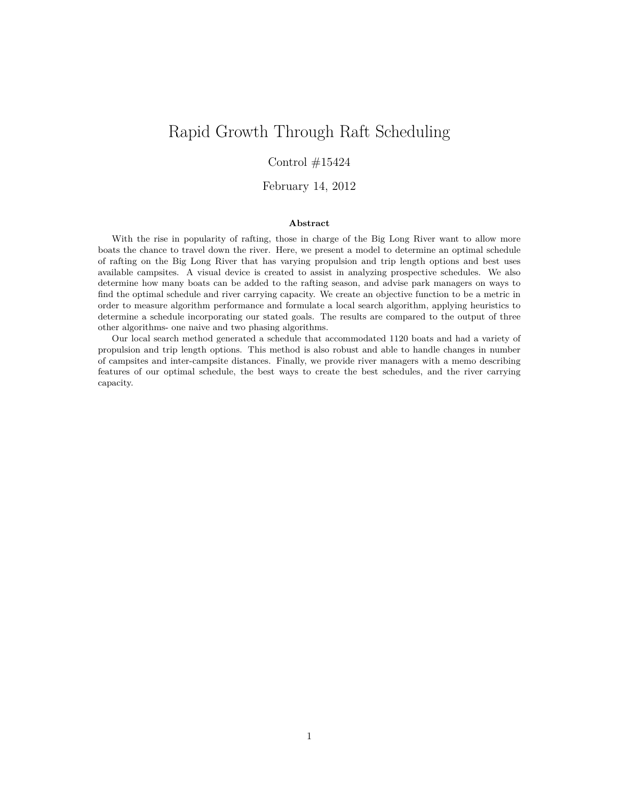# Rapid Growth Through Raft Scheduling

## Control  $\#15424$

### February 14, 2012

#### **Abstract**

With the rise in popularity of rafting, those in charge of the Big Long River want to allow more boats the chance to travel down the river. Here, we present a model to determine an optimal schedule of rafting on the Big Long River that has varying propulsion and trip length options and best uses available campsites. A visual device is created to assist in analyzing prospective schedules. We also determine how many boats can be added to the rafting season, and advise park managers on ways to find the optimal schedule and river carrying capacity. We create an objective function to be a metric in order to measure algorithm performance and formulate a local search algorithm, applying heuristics to determine a schedule incorporating our stated goals. The results are compared to the output of three other algorithms- one naive and two phasing algorithms.

Our local search method generated a schedule that accommodated 1120 boats and had a variety of propulsion and trip length options. This method is also robust and able to handle changes in number of campsites and inter-campsite distances. Finally, we provide river managers with a memo describing features of our optimal schedule, the best ways to create the best schedules, and the river carrying capacity.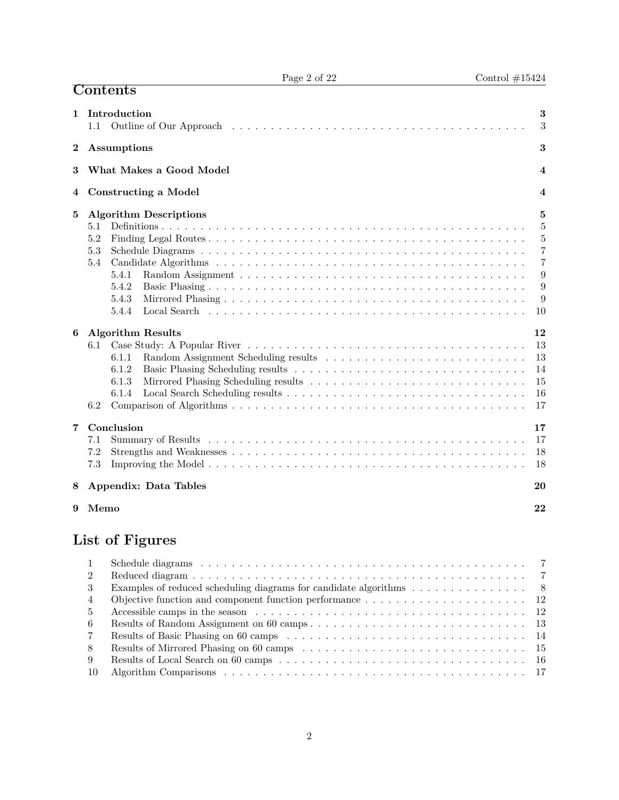|                  | <b>Contents</b>                                                                               |                                                                      |
|------------------|-----------------------------------------------------------------------------------------------|----------------------------------------------------------------------|
| 1                | Introduction<br>1.1                                                                           | 3<br>3                                                               |
| $\boldsymbol{2}$ | Assumptions                                                                                   | 3                                                                    |
| 3                | What Makes a Good Model                                                                       | $\overline{4}$                                                       |
| 4                | <b>Constructing a Model</b>                                                                   | 4                                                                    |
| 5                | <b>Algorithm Descriptions</b><br>5.1<br>5.2<br>5.3<br>5.4<br>5.4.1<br>5.4.2<br>5.4.3<br>5.4.4 | 5<br>5<br>5<br>$\overline{7}$<br>$\overline{7}$<br>9<br>9<br>9<br>10 |
| 6                | <b>Algorithm Results</b><br>6.1<br>6.1.1<br>6.1.2<br>6.1.3<br>6.1.4<br>6.2                    | 12<br>13<br>13<br>14<br>15<br>16<br>17                               |
| 7                | Conclusion<br>7.1<br>7.2<br>7.3                                                               | 17<br>17<br>18<br>18                                                 |
| 8                | Appendix: Data Tables                                                                         | 20                                                                   |
| 9                | Memo                                                                                          | 22                                                                   |
|                  | List of Figures                                                                               |                                                                      |

Page 2 of 22 Control  $\#15424$ 

# **List of Figures**

| -3           | Examples of reduced scheduling diagrams for candidate algorithms 8                                                     |
|--------------|------------------------------------------------------------------------------------------------------------------------|
| 4            | Objective function and component function performance $\dots \dots \dots \dots \dots \dots \dots \dots \dots \dots$ 12 |
| .5           |                                                                                                                        |
| -6           |                                                                                                                        |
| <sup>7</sup> |                                                                                                                        |
| -8           |                                                                                                                        |
| -9           |                                                                                                                        |
| -10          |                                                                                                                        |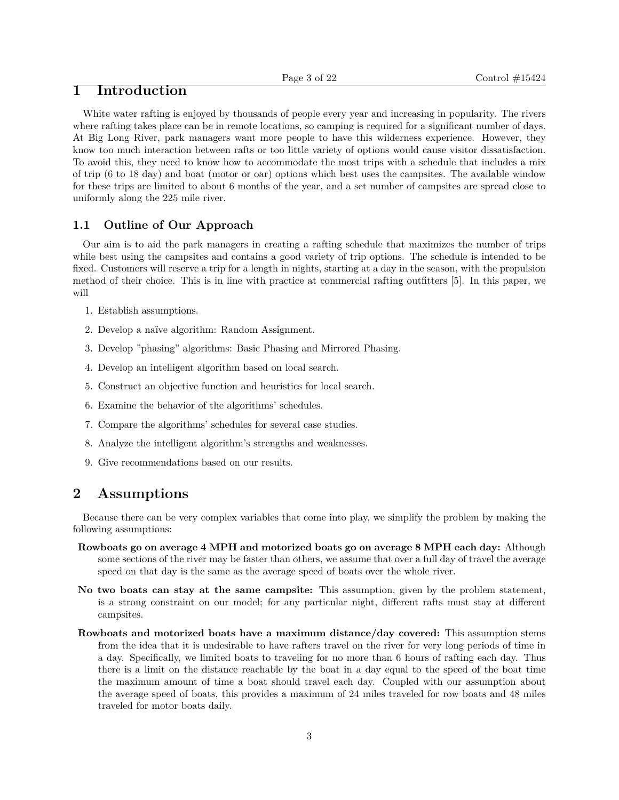# **1 Introduction**

White water rafting is enjoyed by thousands of people every year and increasing in popularity. The rivers where rafting takes place can be in remote locations, so camping is required for a significant number of days. At Big Long River, park managers want more people to have this wilderness experience. However, they know too much interaction between rafts or too little variety of options would cause visitor dissatisfaction. To avoid this, they need to know how to accommodate the most trips with a schedule that includes a mix of trip (6 to 18 day) and boat (motor or oar) options which best uses the campsites. The available window for these trips are limited to about 6 months of the year, and a set number of campsites are spread close to uniformly along the 225 mile river.

### **1.1 Outline of Our Approach**

Our aim is to aid the park managers in creating a rafting schedule that maximizes the number of trips while best using the campsites and contains a good variety of trip options. The schedule is intended to be fixed. Customers will reserve a trip for a length in nights, starting at a day in the season, with the propulsion method of their choice. This is in line with practice at commercial rafting outfitters [5]. In this paper, we will

- 1. Establish assumptions.
- 2. Develop a naïve algorithm: Random Assignment.
- 3. Develop "phasing" algorithms: Basic Phasing and Mirrored Phasing.
- 4. Develop an intelligent algorithm based on local search.
- 5. Construct an objective function and heuristics for local search.
- 6. Examine the behavior of the algorithms' schedules.
- 7. Compare the algorithms' schedules for several case studies.
- 8. Analyze the intelligent algorithm's strengths and weaknesses.
- 9. Give recommendations based on our results.

# **2 Assumptions**

Because there can be very complex variables that come into play, we simplify the problem by making the following assumptions:

- **Rowboats go on average 4 MPH and motorized boats go on average 8 MPH each day:** Although some sections of the river may be faster than others, we assume that over a full day of travel the average speed on that day is the same as the average speed of boats over the whole river.
- **No two boats can stay at the same campsite:** This assumption, given by the problem statement, is a strong constraint on our model; for any particular night, different rafts must stay at different campsites.
- **Rowboats and motorized boats have a maximum distance/day covered:** This assumption stems from the idea that it is undesirable to have rafters travel on the river for very long periods of time in a day. Specifically, we limited boats to traveling for no more than 6 hours of rafting each day. Thus there is a limit on the distance reachable by the boat in a day equal to the speed of the boat time the maximum amount of time a boat should travel each day. Coupled with our assumption about the average speed of boats, this provides a maximum of 24 miles traveled for row boats and 48 miles traveled for motor boats daily.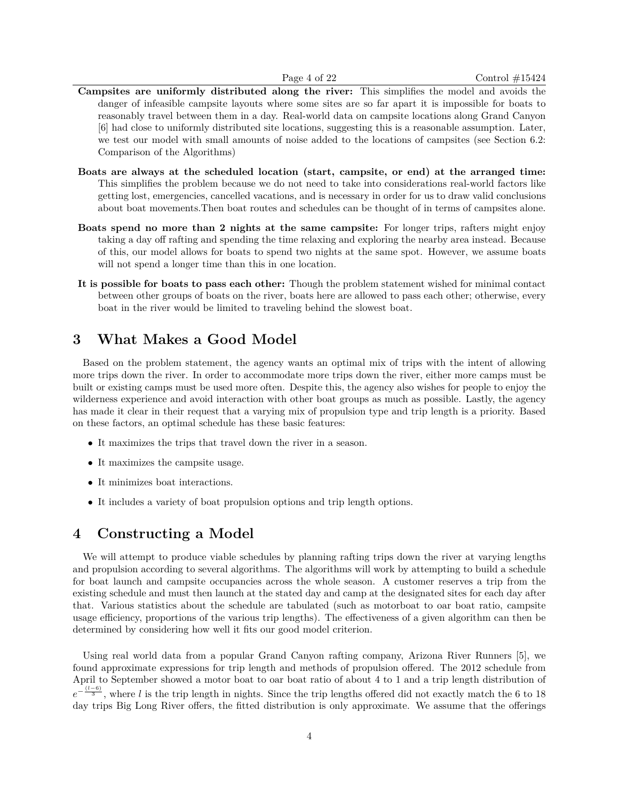- **Campsites are uniformly distributed along the river:** This simplifies the model and avoids the danger of infeasible campsite layouts where some sites are so far apart it is impossible for boats to reasonably travel between them in a day. Real-world data on campsite locations along Grand Canyon [6] had close to uniformly distributed site locations, suggesting this is a reasonable assumption. Later, we test our model with small amounts of noise added to the locations of campsites (see Section 6.2: Comparison of the Algorithms)
- **Boats are always at the scheduled location (start, campsite, or end) at the arranged time:** This simplifies the problem because we do not need to take into considerations real-world factors like getting lost, emergencies, cancelled vacations, and is necessary in order for us to draw valid conclusions about boat movements.Then boat routes and schedules can be thought of in terms of campsites alone.
- **Boats spend no more than 2 nights at the same campsite:** For longer trips, rafters might enjoy taking a day off rafting and spending the time relaxing and exploring the nearby area instead. Because of this, our model allows for boats to spend two nights at the same spot. However, we assume boats will not spend a longer time than this in one location.
- **It is possible for boats to pass each other:** Though the problem statement wished for minimal contact between other groups of boats on the river, boats here are allowed to pass each other; otherwise, every boat in the river would be limited to traveling behind the slowest boat.

# **3 What Makes a Good Model**

Based on the problem statement, the agency wants an optimal mix of trips with the intent of allowing more trips down the river. In order to accommodate more trips down the river, either more camps must be built or existing camps must be used more often. Despite this, the agency also wishes for people to enjoy the wilderness experience and avoid interaction with other boat groups as much as possible. Lastly, the agency has made it clear in their request that a varying mix of propulsion type and trip length is a priority. Based on these factors, an optimal schedule has these basic features:

- It maximizes the trips that travel down the river in a season.
- It maximizes the campsite usage.
- It minimizes boat interactions.
- It includes a variety of boat propulsion options and trip length options.

## **4 Constructing a Model**

We will attempt to produce viable schedules by planning rafting trips down the river at varying lengths and propulsion according to several algorithms. The algorithms will work by attempting to build a schedule for boat launch and campsite occupancies across the whole season. A customer reserves a trip from the existing schedule and must then launch at the stated day and camp at the designated sites for each day after that. Various statistics about the schedule are tabulated (such as motorboat to oar boat ratio, campsite usage efficiency, proportions of the various trip lengths). The effectiveness of a given algorithm can then be determined by considering how well it fits our good model criterion.

Using real world data from a popular Grand Canyon rafting company, Arizona River Runners [5], we found approximate expressions for trip length and methods of propulsion offered. The 2012 schedule from April to September showed a motor boat to oar boat ratio of about 4 to 1 and a trip length distribution of  $e^{-\frac{(l-6)}{3}}$ , where *l* is the trip length in nights. Since the trip lengths offered did not exactly match the 6 to 18 day trips Big Long River offers, the fitted distribution is only approximate. We assume that the offerings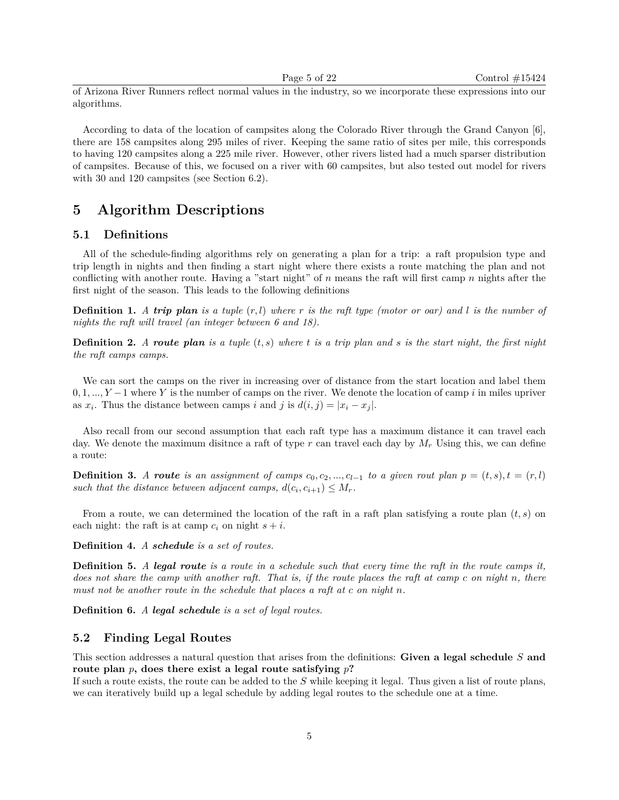of Arizona River Runners reflect normal values in the industry, so we incorporate these expressions into our algorithms.

According to data of the location of campsites along the Colorado River through the Grand Canyon [6], there are 158 campsites along 295 miles of river. Keeping the same ratio of sites per mile, this corresponds to having 120 campsites along a 225 mile river. However, other rivers listed had a much sparser distribution of campsites. Because of this, we focused on a river with 60 campsites, but also tested out model for rivers with 30 and 120 campsites (see Section 6.2).

# **5 Algorithm Descriptions**

#### **5.1 Definitions**

All of the schedule-finding algorithms rely on generating a plan for a trip: a raft propulsion type and trip length in nights and then finding a start night where there exists a route matching the plan and not conflicting with another route. Having a "start night" of *n* means the raft will first camp *n* nights after the first night of the season. This leads to the following definitions

**Definition 1.** *A trip plan is a tuple* (*r, l*) *where r is the raft type (motor or oar) and l is the number of nights the raft will travel (an integer between 6 and 18).*

**Definition 2.** *A route plan is a tuple* (*t, s*) *where t is a trip plan and s is the start night, the first night the raft camps camps.*

We can sort the camps on the river in increasing over of distance from the start location and label them 0*,* 1*, ..., Y* −1 where *Y* is the number of camps on the river. We denote the location of camp *i* in miles upriver as  $x_i$ . Thus the distance between camps *i* and *j* is  $d(i, j) = |x_i - x_j|$ .

Also recall from our second assumption that each raft type has a maximum distance it can travel each day. We denote the maximum distince a raft of type  $r$  can travel each day by  $M_r$  Using this, we can define a route:

**Definition 3.** *A* route is an assignment of camps  $c_0, c_2, ..., c_{l-1}$  to a given rout plan  $p = (t, s), t = (r, l)$ *such that the distance between adjacent camps,*  $d(c_i, c_{i+1}) \leq M_r$ .

From a route, we can determined the location of the raft in a raft plan satisfying a route plan (*t, s*) on each night: the raft is at camp  $c_i$  on night  $s + i$ .

**Definition 4.** *A schedule is a set of routes.*

**Definition 5.** *A legal route is a route in a schedule such that every time the raft in the route camps it, does not share the camp with another raft. That is, if the route places the raft at camp c on night n, there must not be another route in the schedule that places a raft at c on night n.*

**Definition 6.** *A legal schedule is a set of legal routes.*

#### **5.2 Finding Legal Routes**

This section addresses a natural question that arises from the definitions: **Given a legal schedule** *S* **and route plan** *p***, does there exist a legal route satisfying** *p***?**

If such a route exists, the route can be added to the *S* while keeping it legal. Thus given a list of route plans, we can iteratively build up a legal schedule by adding legal routes to the schedule one at a time.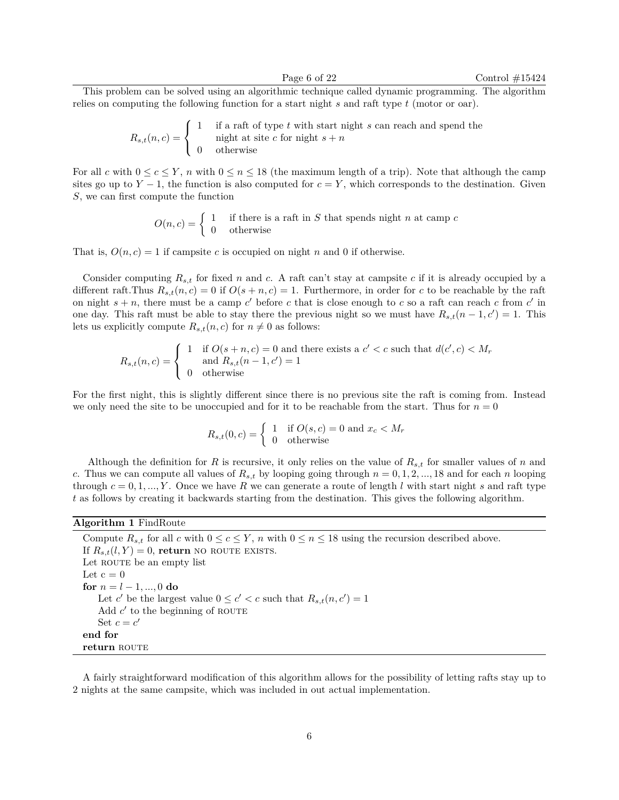This problem can be solved using an algorithmic technique called dynamic programming. The algorithm relies on computing the following function for a start night *s* and raft type *t* (motor or oar).

$$
R_{s,t}(n,c) = \begin{cases} 1 & \text{if a raft of type } t \text{ with start night } s \text{ can reach and spend the night at site } c \text{ for night } s + n \\ 0 & \text{otherwise} \end{cases}
$$

For all *c* with  $0 \le c \le Y$ , *n* with  $0 \le n \le 18$  (the maximum length of a trip). Note that although the camp sites go up to  $Y - 1$ , the function is also computed for  $c = Y$ , which corresponds to the destination. Given *S*, we can first compute the function

> $O(n, c) = \begin{cases} 1 & \text{if there is a raft in } S \text{ that spends night } n \text{ at camp } c \end{cases}$ 0 otherwise

That is,  $O(n, c) = 1$  if campsite *c* is occupied on night *n* and 0 if otherwise.

Consider computing  $R_{s,t}$  for fixed *n* and *c*. A raft can't stay at campsite *c* if it is already occupied by a different raft. Thus  $R_{s,t}(n,c) = 0$  if  $O(s+n,c) = 1$ . Furthermore, in order for *c* to be reachable by the raft on night  $s + n$ , there must be a camp c' before c that is close enough to c so a raft can reach c from c' in one day. This raft must be able to stay there the previous night so we must have  $R_{s,t}(n-1,c')=1$ . This lets us explicitly compute  $R_{s,t}(n, c)$  for  $n \neq 0$  as follows:

$$
R_{s,t}(n,c) = \begin{cases} 1 & \text{if } O(s+n,c) = 0 \text{ and there exists a } c' < c \text{ such that } d(c',c) < M_r \\ 0 & \text{otherwise} \end{cases}
$$

For the first night, this is slightly different since there is no previous site the raft is coming from. Instead we only need the site to be unoccupied and for it to be reachable from the start. Thus for  $n = 0$ 

$$
R_{s,t}(0,c) = \begin{cases} 1 & \text{if } O(s,c) = 0 \text{ and } x_c < M_r \\ 0 & \text{otherwise} \end{cases}
$$

Although the definition for *R* is recursive, it only relies on the value of  $R_{s,t}$  for smaller values of *n* and *c*. Thus we can compute all values of  $R_{s,t}$  by looping going through  $n = 0, 1, 2, ..., 18$  and for each *n* looping through  $c = 0, 1, ..., Y$ . Once we have R we can generate a route of length l with start night s and raft type *t* as follows by creating it backwards starting from the destination. This gives the following algorithm.

**Algorithm 1** FindRoute

Compute  $R_{s,t}$  for all *c* with  $0 \leq c \leq Y$ , *n* with  $0 \leq n \leq 18$  using the recursion described above. If  $R_{s,t}(l, Y) = 0$ , **return** no route exists. Let ROUTE be an empty list Let  $c = 0$ **for**  $n = l - 1, ..., 0$  **do** Let *c*' be the largest value  $0 \leq c' < c$  such that  $R_{s,t}(n, c') = 1$ Add  $c'$  to the beginning of ROUTE Set  $c = c'$ **end for return** ROUTE

A fairly straightforward modification of this algorithm allows for the possibility of letting rafts stay up to 2 nights at the same campsite, which was included in out actual implementation.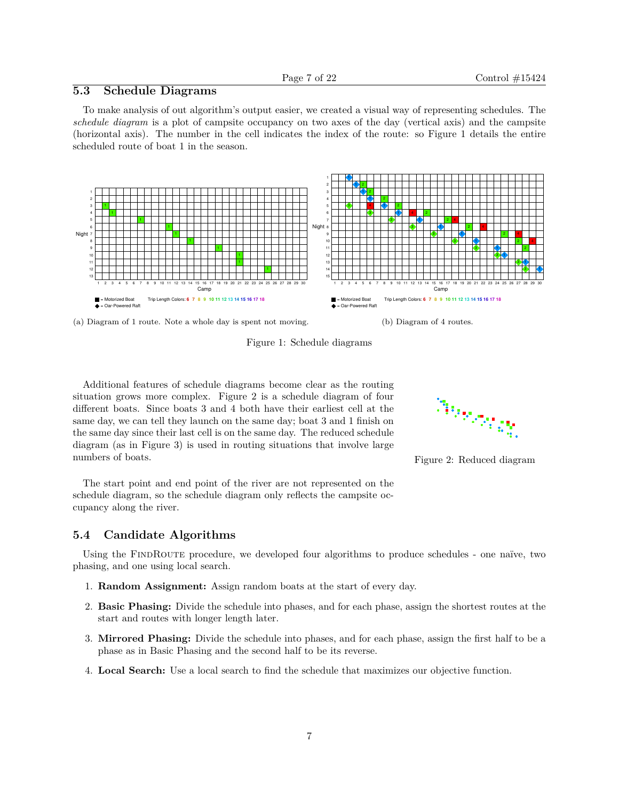## **5.3 Schedule Diagrams**

To make analysis of out algorithm's output easier, we created a visual way of representing schedules. The *schedule diagram* is a plot of campsite occupancy on two axes of the day (vertical axis) and the campsite (horizontal axis). The number in the cell indicates the index of the route: so Figure 1 details the entire scheduled route of boat 1 in the season.



(a) Diagram of 1 route. Note a whole day is spent not moving.

Figure 1: Schedule diagrams

Additional features of schedule diagrams become clear as the routing situation grows more complex. Figure 2 is a schedule diagram of four different boats. Since boats 3 and 4 both have their earliest cell at the same day, we can tell they launch on the same day; boat 3 and 1 finish on the same day since their last cell is on the same day. The reduced schedule diagram (as in Figure 3) is used in routing situations that involve large numbers of boats.

The start point and end point of the river are not represented on the schedule diagram, so the schedule diagram only reflects the campsite occupancy along the river.

### **5.4 Candidate Algorithms**

Using the FINDROUTE procedure, we developed four algorithms to produce schedules - one naïve, two phasing, and one using local search.

- 1. **Random Assignment:** Assign random boats at the start of every day.
- 2. **Basic Phasing:** Divide the schedule into phases, and for each phase, assign the shortest routes at the start and routes with longer length later.
- 3. **Mirrored Phasing:** Divide the schedule into phases, and for each phase, assign the first half to be a phase as in Basic Phasing and the second half to be its reverse.
- 4. **Local Search:** Use a local search to find the schedule that maximizes our objective function.



Figure 2: Reduced diagram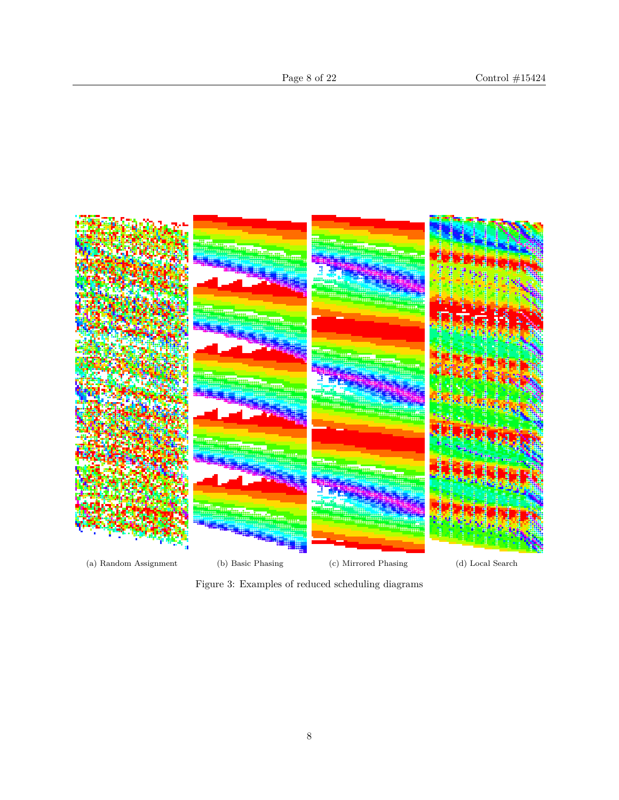

Figure 3: Examples of reduced scheduling diagrams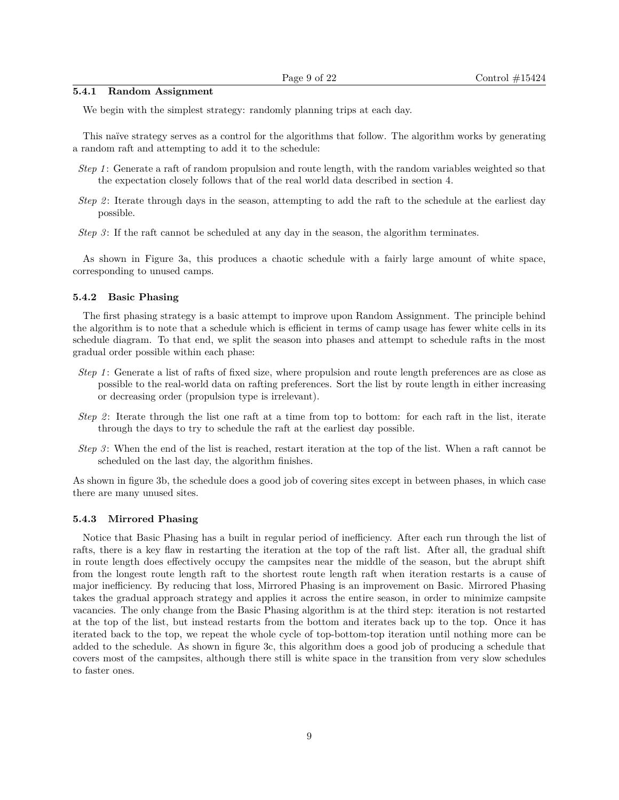#### **5.4.1 Random Assignment**

We begin with the simplest strategy: randomly planning trips at each day.

This naïve strategy serves as a control for the algorithms that follow. The algorithm works by generating a random raft and attempting to add it to the schedule:

- *Step 1* : Generate a raft of random propulsion and route length, with the random variables weighted so that the expectation closely follows that of the real world data described in section 4.
- *Step 2* : Iterate through days in the season, attempting to add the raft to the schedule at the earliest day possible.
- *Step 3* : If the raft cannot be scheduled at any day in the season, the algorithm terminates.

As shown in Figure 3a, this produces a chaotic schedule with a fairly large amount of white space, corresponding to unused camps.

#### **5.4.2 Basic Phasing**

The first phasing strategy is a basic attempt to improve upon Random Assignment. The principle behind the algorithm is to note that a schedule which is efficient in terms of camp usage has fewer white cells in its schedule diagram. To that end, we split the season into phases and attempt to schedule rafts in the most gradual order possible within each phase:

- *Step 1* : Generate a list of rafts of fixed size, where propulsion and route length preferences are as close as possible to the real-world data on rafting preferences. Sort the list by route length in either increasing or decreasing order (propulsion type is irrelevant).
- *Step 2* : Iterate through the list one raft at a time from top to bottom: for each raft in the list, iterate through the days to try to schedule the raft at the earliest day possible.
- *Step 3* : When the end of the list is reached, restart iteration at the top of the list. When a raft cannot be scheduled on the last day, the algorithm finishes.

As shown in figure 3b, the schedule does a good job of covering sites except in between phases, in which case there are many unused sites.

#### **5.4.3 Mirrored Phasing**

Notice that Basic Phasing has a built in regular period of inefficiency. After each run through the list of rafts, there is a key flaw in restarting the iteration at the top of the raft list. After all, the gradual shift in route length does effectively occupy the campsites near the middle of the season, but the abrupt shift from the longest route length raft to the shortest route length raft when iteration restarts is a cause of major inefficiency. By reducing that loss, Mirrored Phasing is an improvement on Basic. Mirrored Phasing takes the gradual approach strategy and applies it across the entire season, in order to minimize campsite vacancies. The only change from the Basic Phasing algorithm is at the third step: iteration is not restarted at the top of the list, but instead restarts from the bottom and iterates back up to the top. Once it has iterated back to the top, we repeat the whole cycle of top-bottom-top iteration until nothing more can be added to the schedule. As shown in figure 3c, this algorithm does a good job of producing a schedule that covers most of the campsites, although there still is white space in the transition from very slow schedules to faster ones.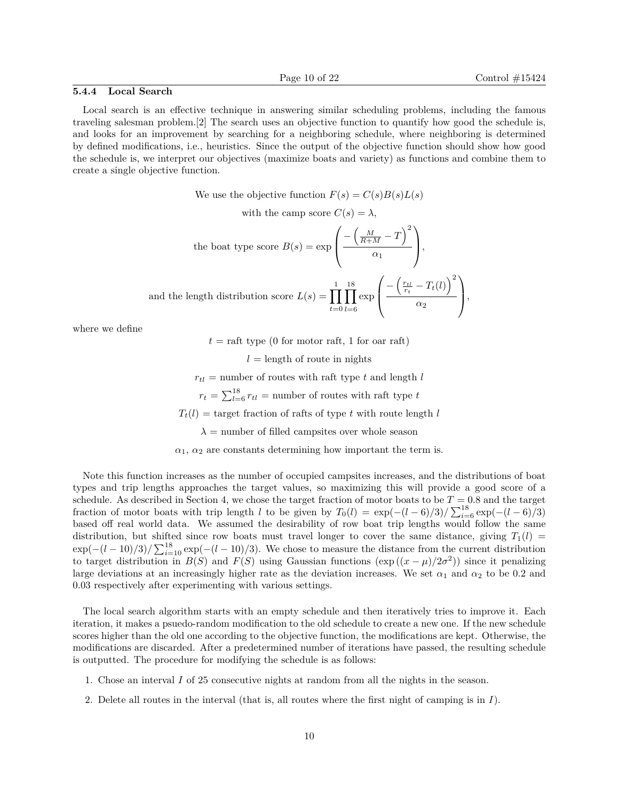#### **5.4.4 Local Search**

Local search is an effective technique in answering similar scheduling problems, including the famous traveling salesman problem.[2] The search uses an objective function to quantify how good the schedule is, and looks for an improvement by searching for a neighboring schedule, where neighboring is determined by defined modifications, i.e., heuristics. Since the output of the objective function should show how good the schedule is, we interpret our objectives (maximize boats and variety) as functions and combine them to create a single objective function.

We use the objective function  $F(s) = C(s)B(s)L(s)$ 

with the camp score  $C(s) = \lambda$ ,

the boat type score 
$$
B(s) = \exp\left(\frac{-\left(\frac{M}{R+M} - T\right)^2}{\alpha_1}\right)
$$
,  
and the length distribution score  $L(s) = \prod_{t=0}^{1} \prod_{l=6}^{18} \exp\left(\frac{-\left(\frac{r_{tl}}{r_t} - T_t(l)\right)^2}{\alpha_2}\right)$ ,

where we define

 $t = \text{raft type } (0 \text{ for motor raft}, 1 \text{ for oar raft})$ 

 $l =$  length of route in nights

 $r_{tl}$  = number of routes with raft type *t* and length *l* 

 $r_t = \sum_{l=6}^{18} r_{tl}$  = number of routes with raft type *t* 

 $T_t(l) = \text{target fraction of } r$  afts of type *t* with route length *l* 

 $\lambda$  = number of filled campsites over whole season

 $\alpha_1$ ,  $\alpha_2$  are constants determining how important the term is.

Note this function increases as the number of occupied campsites increases, and the distributions of boat types and trip lengths approaches the target values, so maximizing this will provide a good score of a schedule. As described in Section 4, we chose the target fraction of motor boats to be  $T = 0.8$  and the target fraction of motor boats with trip length *l* to be given by  $T_0(l) = \exp(-(l-6)/3)/\sum_{i=6}^{18} \exp(-(l-6)/3)$ based off real world data. We assumed the desirability of row boat trip lengths would follow the same distribution, but shifted since row boats must travel longer to cover the same distance, giving  $T_1(l)$  $\exp(-(l-10)/3)/\sum_{i=10}^{18} \exp(-(l-10)/3)$ . We chose to measure the distance from the current distribution to target distribution in  $B(S)$  and  $F(S)$  using Gaussian functions  $(\exp((x - \mu)/2\sigma^2))$  since it penalizing large deviations at an increasingly higher rate as the deviation increases. We set  $\alpha_1$  and  $\alpha_2$  to be 0.2 and 0.03 respectively after experimenting with various settings.

The local search algorithm starts with an empty schedule and then iteratively tries to improve it. Each iteration, it makes a psuedo-random modification to the old schedule to create a new one. If the new schedule scores higher than the old one according to the objective function, the modifications are kept. Otherwise, the modifications are discarded. After a predetermined number of iterations have passed, the resulting schedule is outputted. The procedure for modifying the schedule is as follows:

- 1. Chose an interval *I* of 25 consecutive nights at random from all the nights in the season.
- 2. Delete all routes in the interval (that is, all routes where the first night of camping is in *I*).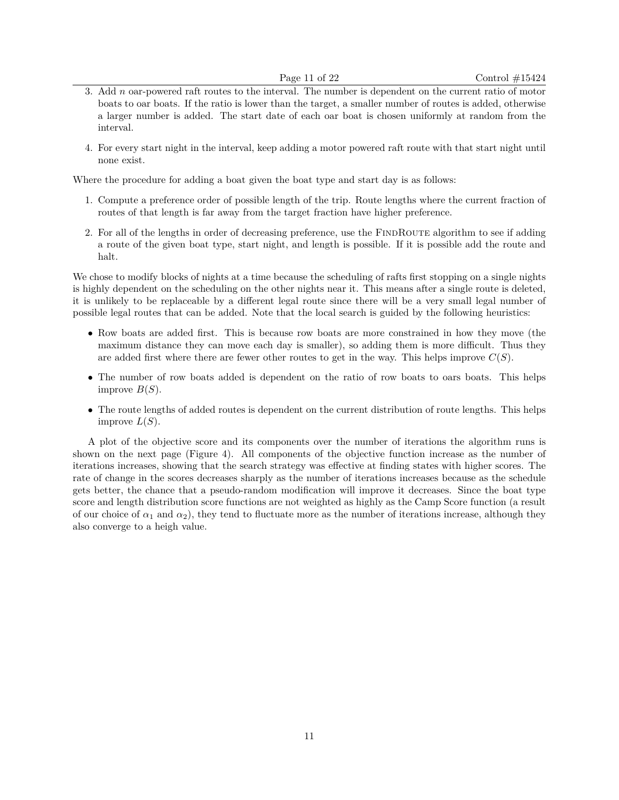- 3. Add *n* oar-powered raft routes to the interval. The number is dependent on the current ratio of motor boats to oar boats. If the ratio is lower than the target, a smaller number of routes is added, otherwise a larger number is added. The start date of each oar boat is chosen uniformly at random from the interval.
- 4. For every start night in the interval, keep adding a motor powered raft route with that start night until none exist.

Where the procedure for adding a boat given the boat type and start day is as follows:

- 1. Compute a preference order of possible length of the trip. Route lengths where the current fraction of routes of that length is far away from the target fraction have higher preference.
- 2. For all of the lengths in order of decreasing preference, use the FINDROUTE algorithm to see if adding a route of the given boat type, start night, and length is possible. If it is possible add the route and halt.

We chose to modify blocks of nights at a time because the scheduling of rafts first stopping on a single nights is highly dependent on the scheduling on the other nights near it. This means after a single route is deleted, it is unlikely to be replaceable by a different legal route since there will be a very small legal number of possible legal routes that can be added. Note that the local search is guided by the following heuristics:

- Row boats are added first. This is because row boats are more constrained in how they move (the maximum distance they can move each day is smaller), so adding them is more difficult. Thus they are added first where there are fewer other routes to get in the way. This helps improve *C*(*S*).
- The number of row boats added is dependent on the ratio of row boats to oars boats. This helps improve  $B(S)$ .
- The route lengths of added routes is dependent on the current distribution of route lengths. This helps improve  $L(S)$ .

A plot of the objective score and its components over the number of iterations the algorithm runs is shown on the next page (Figure 4). All components of the objective function increase as the number of iterations increases, showing that the search strategy was effective at finding states with higher scores. The rate of change in the scores decreases sharply as the number of iterations increases because as the schedule gets better, the chance that a pseudo-random modification will improve it decreases. Since the boat type score and length distribution score functions are not weighted as highly as the Camp Score function (a result of our choice of  $\alpha_1$  and  $\alpha_2$ ), they tend to fluctuate more as the number of iterations increase, although they also converge to a heigh value.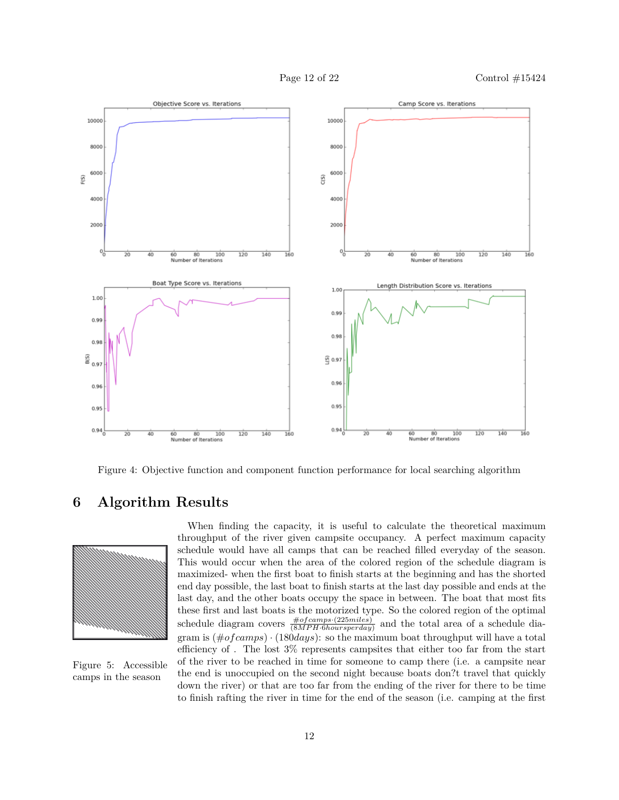

Figure 4: Objective function and component function performance for local searching algorithm

# **6 Algorithm Results**



Figure 5: Accessible camps in the season

When finding the capacity, it is useful to calculate the theoretical maximum throughput of the river given campsite occupancy. A perfect maximum capacity schedule would have all camps that can be reached filled everyday of the season. This would occur when the area of the colored region of the schedule diagram is maximized- when the first boat to finish starts at the beginning and has the shorted end day possible, the last boat to finish starts at the last day possible and ends at the last day, and the other boats occupy the space in between. The boat that most fits these first and last boats is the motorized type. So the colored region of the optimal schedule diagram covers  $\frac{\# of camps \cdot (225 miles)}{(8MPH \cdot 6 hours per day)}$  and the total area of a schedule diagram is (#*of camps*) · (180*days*): so the maximum boat throughput will have a total efficiency of . The lost 3% represents campsites that either too far from the start of the river to be reached in time for someone to camp there (i.e. a campsite near the end is unoccupied on the second night because boats don?t travel that quickly down the river) or that are too far from the ending of the river for there to be time to finish rafting the river in time for the end of the season (i.e. camping at the first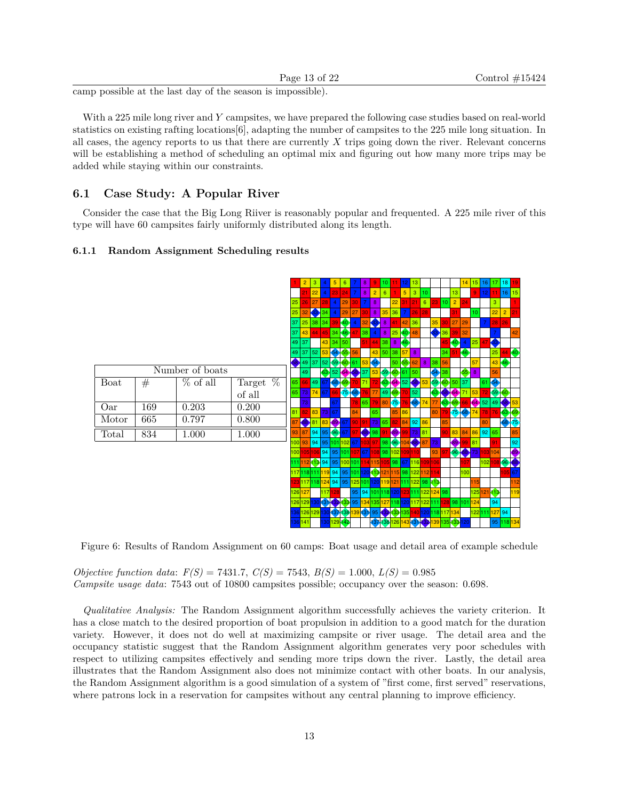| Page $13$ of $22$ |  |  |
|-------------------|--|--|

camp possible at the last day of the season is impossible).

With a 225 mile long river and *Y* campsites, we have prepared the following case studies based on real-world statistics on existing rafting locations[6], adapting the number of campsites to the 225 mile long situation. In all cases, the agency reports to us that there are currently *X* trips going down the river. Relevant concerns will be establishing a method of scheduling an optimal mix and figuring out how many more trips may be added while staying within our constraints.

### **6.1 Case Study: A Popular River**

Consider the case that the Big Long Riiver is reasonably popular and frequented. A 225 mile river of this type will have 60 campsites fairly uniformly distributed along its length.

#### **6.1.1 Random Assignment Scheduling results**



Figure 6: Results of Random Assignment on 60 camps: Boat usage and detail area of example schedule

*Objective function data*: *F(S)* = 7431.7, *C(S)* = 7543, *B(S)* = 1.000, *L(S)* = 0.985 *Campsite usage data*: 7543 out of 10800 campsites possible; occupancy over the season: 0.698.

*Qualitative Analysis:* The Random Assignment algorithm successfully achieves the variety criterion. It has a close match to the desired proportion of boat propulsion in addition to a good match for the duration variety. However, it does not do well at maximizing campsite or river usage. The detail area and the occupancy statistic suggest that the Random Assignment algorithm generates very poor schedules with respect to utilizing campsites effectively and sending more trips down the river. Lastly, the detail area illustrates that the Random Assignment also does not minimize contact with other boats. In our analysis, the Random Assignment algorithm is a good simulation of a system of "first come, first served" reservations, where patrons lock in a reservation for campsites without any central planning to improve efficiency.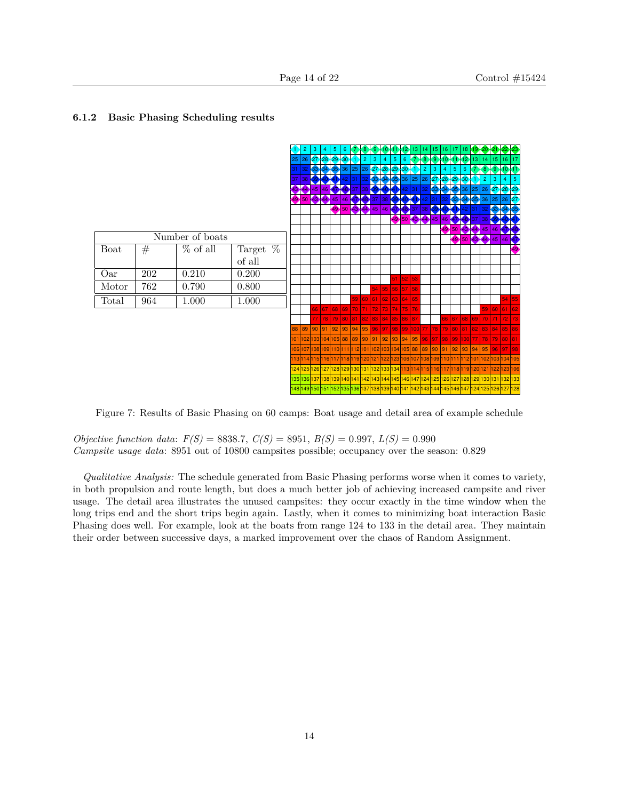# **6.1.2 Basic Phasing Scheduling results**



Figure 7: Results of Basic Phasing on 60 camps: Boat usage and detail area of example schedule

*Objective function data*: *F(S)* = 8838.7, *C(S)* = 8951, *B(S)* = 0.997, *L(S)* = 0.990 *Campsite usage data*: 8951 out of 10800 campsites possible; occupancy over the season: 0.829

*Qualitative Analysis:* The schedule generated from Basic Phasing performs worse when it comes to variety, in both propulsion and route length, but does a much better job of achieving increased campsite and river usage. The detail area illustrates the unused campsites: they occur exactly in the time window when the long trips end and the short trips begin again. Lastly, when it comes to minimizing boat interaction Basic Phasing does well. For example, look at the boats from range 124 to 133 in the detail area. They maintain their order between successive days, a marked improvement over the chaos of Random Assignment.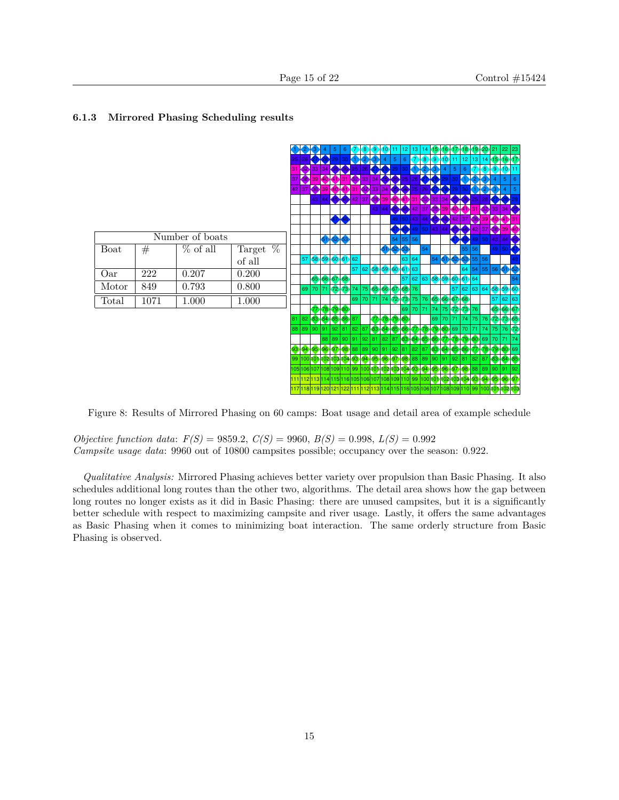

#### **6.1.3 Mirrored Phasing Scheduling results**

Figure 8: Results of Mirrored Phasing on 60 camps: Boat usage and detail area of example schedule

*Objective function data*: *F(S)* = 9859.2, *C(S)* = 9960, *B(S)* = 0.998, *L(S)* = 0.992 *Campsite usage data*: 9960 out of 10800 campsites possible; occupancy over the season: 0.922.

*Qualitative Analysis:* Mirrored Phasing achieves better variety over propulsion than Basic Phasing. It also schedules additional long routes than the other two, algorithms. The detail area shows how the gap between long routes no longer exists as it did in Basic Phasing: there are unused campsites, but it is a significantly better schedule with respect to maximizing campsite and river usage. Lastly, it offers the same advantages as Basic Phasing when it comes to minimizing boat interaction. The same orderly structure from Basic Phasing is observed.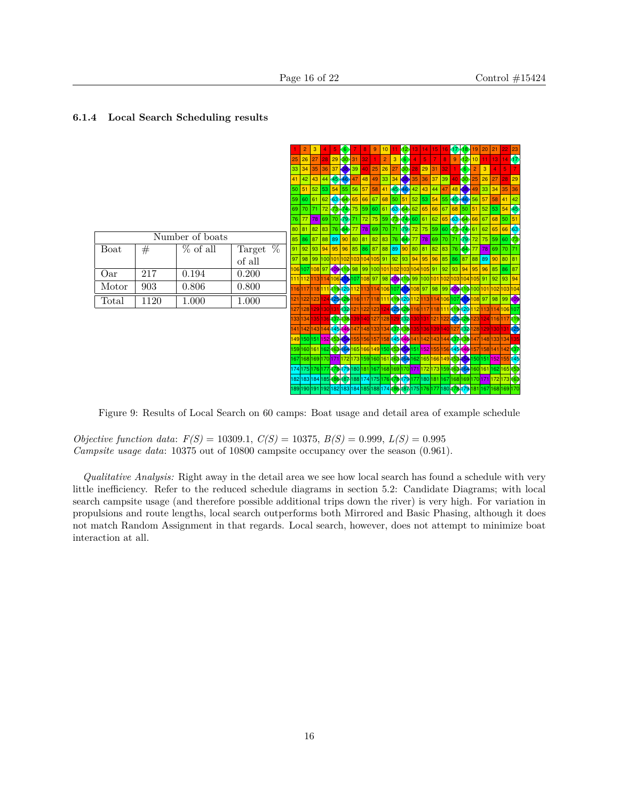### **6.1.4 Local Search Scheduling results**



Figure 9: Results of Local Search on 60 camps: Boat usage and detail area of example schedule

*Objective function data*: *F(S)* = 10309.1, *C(S)* = 10375, *B(S)* = 0.999, *L(S)* = 0.995 *Campsite usage data*: 10375 out of 10800 campsite occupancy over the season (0.961).

*Qualitative Analysis:* Right away in the detail area we see how local search has found a schedule with very little inefficiency. Refer to the reduced schedule diagrams in section 5.2: Candidate Diagrams; with local search campsite usage (and therefore possible additional trips down the river) is very high. For variation in propulsions and route lengths, local search outperforms both Mirrored and Basic Phasing, although it does not match Random Assignment in that regards. Local search, however, does not attempt to minimize boat interaction at all.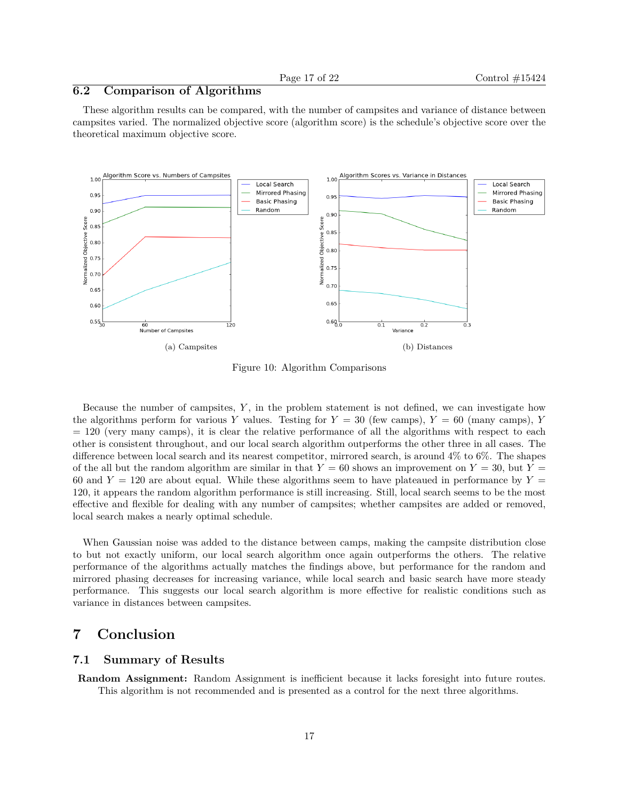### **6.2 Comparison of Algorithms**

These algorithm results can be compared, with the number of campsites and variance of distance between campsites varied. The normalized objective score (algorithm score) is the schedule's objective score over the theoretical maximum objective score.



Figure 10: Algorithm Comparisons

Because the number of campsites, *Y* , in the problem statement is not defined, we can investigate how the algorithms perform for various *Y* values. Testing for  $Y = 30$  (few camps),  $Y = 60$  (many camps), *Y*  $= 120$  (very many camps), it is clear the relative performance of all the algorithms with respect to each other is consistent throughout, and our local search algorithm outperforms the other three in all cases. The difference between local search and its nearest competitor, mirrored search, is around 4% to 6%. The shapes of the all but the random algorithm are similar in that  $Y = 60$  shows an improvement on  $Y = 30$ , but  $Y =$ 60 and  $Y = 120$  are about equal. While these algorithms seem to have plateaued in performance by  $Y =$ 120, it appears the random algorithm performance is still increasing. Still, local search seems to be the most effective and flexible for dealing with any number of campsites; whether campsites are added or removed, local search makes a nearly optimal schedule.

When Gaussian noise was added to the distance between camps, making the campsite distribution close to but not exactly uniform, our local search algorithm once again outperforms the others. The relative performance of the algorithms actually matches the findings above, but performance for the random and mirrored phasing decreases for increasing variance, while local search and basic search have more steady performance. This suggests our local search algorithm is more effective for realistic conditions such as variance in distances between campsites.

# **7 Conclusion**

#### **7.1 Summary of Results**

**Random Assignment:** Random Assignment is inefficient because it lacks foresight into future routes. This algorithm is not recommended and is presented as a control for the next three algorithms.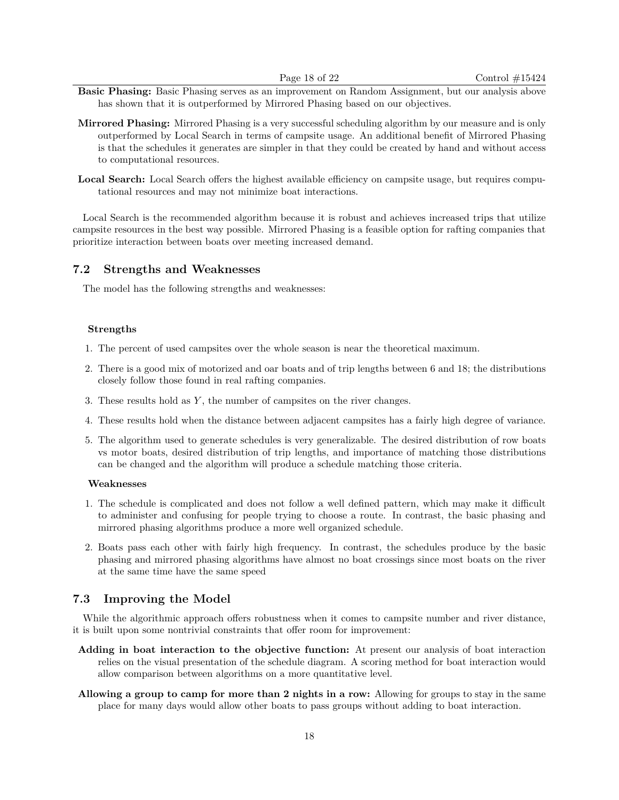- **Basic Phasing:** Basic Phasing serves as an improvement on Random Assignment, but our analysis above has shown that it is outperformed by Mirrored Phasing based on our objectives.
- **Mirrored Phasing:** Mirrored Phasing is a very successful scheduling algorithm by our measure and is only outperformed by Local Search in terms of campsite usage. An additional benefit of Mirrored Phasing is that the schedules it generates are simpler in that they could be created by hand and without access to computational resources.
- Local Search: Local Search offers the highest available efficiency on campsite usage, but requires computational resources and may not minimize boat interactions.

Local Search is the recommended algorithm because it is robust and achieves increased trips that utilize campsite resources in the best way possible. Mirrored Phasing is a feasible option for rafting companies that prioritize interaction between boats over meeting increased demand.

#### **7.2 Strengths and Weaknesses**

The model has the following strengths and weaknesses:

#### **Strengths**

- 1. The percent of used campsites over the whole season is near the theoretical maximum.
- 2. There is a good mix of motorized and oar boats and of trip lengths between 6 and 18; the distributions closely follow those found in real rafting companies.
- 3. These results hold as *Y* , the number of campsites on the river changes.
- 4. These results hold when the distance between adjacent campsites has a fairly high degree of variance.
- 5. The algorithm used to generate schedules is very generalizable. The desired distribution of row boats vs motor boats, desired distribution of trip lengths, and importance of matching those distributions can be changed and the algorithm will produce a schedule matching those criteria.

#### **Weaknesses**

- 1. The schedule is complicated and does not follow a well defined pattern, which may make it difficult to administer and confusing for people trying to choose a route. In contrast, the basic phasing and mirrored phasing algorithms produce a more well organized schedule.
- 2. Boats pass each other with fairly high frequency. In contrast, the schedules produce by the basic phasing and mirrored phasing algorithms have almost no boat crossings since most boats on the river at the same time have the same speed

#### **7.3 Improving the Model**

While the algorithmic approach offers robustness when it comes to campsite number and river distance, it is built upon some nontrivial constraints that offer room for improvement:

- **Adding in boat interaction to the objective function:** At present our analysis of boat interaction relies on the visual presentation of the schedule diagram. A scoring method for boat interaction would allow comparison between algorithms on a more quantitative level.
- **Allowing a group to camp for more than 2 nights in a row:** Allowing for groups to stay in the same place for many days would allow other boats to pass groups without adding to boat interaction.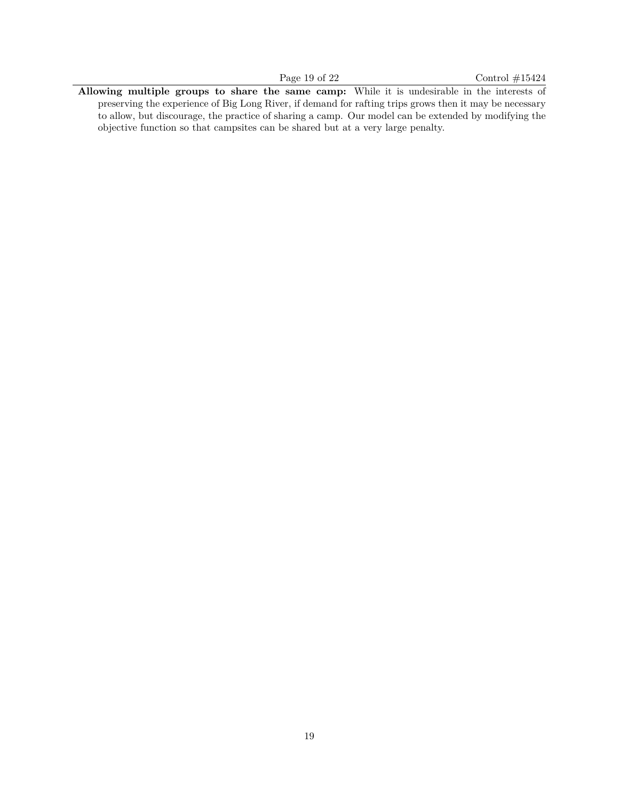**Allowing multiple groups to share the same camp:** While it is undesirable in the interests of preserving the experience of Big Long River, if demand for rafting trips grows then it may be necessary to allow, but discourage, the practice of sharing a camp. Our model can be extended by modifying the objective function so that campsites can be shared but at a very large penalty.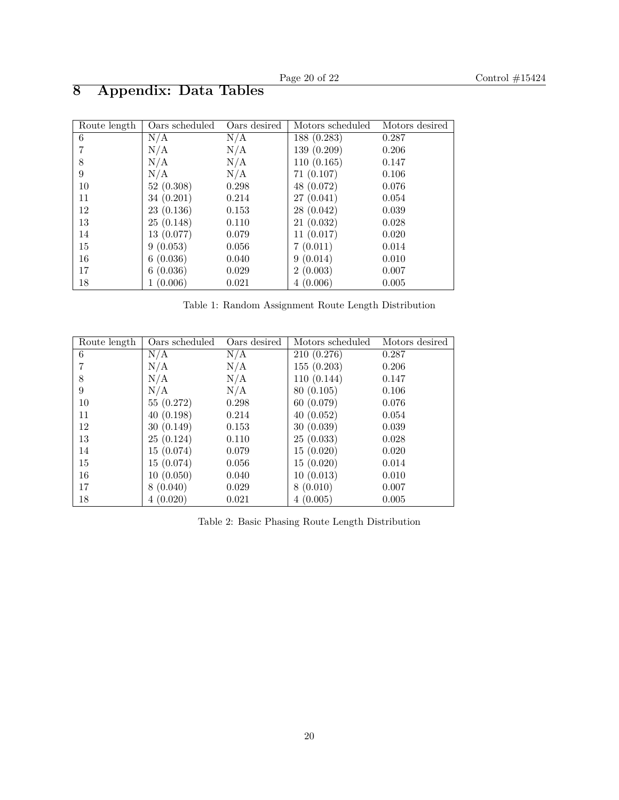| Route length | Oars scheduled | Oars desired | Motors scheduled | Motors desired |
|--------------|----------------|--------------|------------------|----------------|
| 6            | N/A            | N/A          | 188 (0.283)      | 0.287          |
| 7            | N/A            | N/A          | 139(0.209)       | 0.206          |
| 8            | N/A            | N/A          | 110(0.165)       | 0.147          |
| 9            | N/A            | N/A          | 71(0.107)        | 0.106          |
| 10           | 52(0.308)      | 0.298        | 48 (0.072)       | 0.076          |
| 11           | 34(0.201)      | 0.214        | 27(0.041)        | 0.054          |
| 12           | 23(0.136)      | 0.153        | 28(0.042)        | 0.039          |
| 13           | 25(0.148)      | 0.110        | 21(0.032)        | 0.028          |
| 14           | 13(0.077)      | 0.079        | 11(0.017)        | 0.020          |
| 15           | 9(0.053)       | 0.056        | 7(0.011)         | 0.014          |
| 16           | 6(0.036)       | 0.040        | 9(0.014)         | 0.010          |
| 17           | 6(0.036)       | 0.029        | 2(0.003)         | 0.007          |
| 18           | (0.006)        | 0.021        | 4(0.006)         | 0.005          |

# **8 Appendix: Data Tables**

Table 1: Random Assignment Route Length Distribution

| Route length | Oars scheduled | Oars desired | Motors scheduled | Motors desired |
|--------------|----------------|--------------|------------------|----------------|
| 6            | N/A            | N/A          | 210(0.276)       | 0.287          |
|              | N/A            | N/A          | 155(0.203)       | 0.206          |
| 8            | N/A            | N/A          | 110(0.144)       | 0.147          |
| 9            | N/A            | N/A          | 80 (0.105)       | 0.106          |
| 10           | 55(0.272)      | 0.298        | 60(0.079)        | 0.076          |
| 11           | 40(0.198)      | 0.214        | 40(0.052)        | 0.054          |
| 12           | 30(0.149)      | 0.153        | 30(0.039)        | 0.039          |
| 13           | 25(0.124)      | 0.110        | 25(0.033)        | 0.028          |
| 14           | 15(0.074)      | 0.079        | 15(0.020)        | 0.020          |
| 15           | 15(0.074)      | 0.056        | 15(0.020)        | 0.014          |
| 16           | 10(0.050)      | 0.040        | 10(0.013)        | 0.010          |
| 17           | 8(0.040)       | 0.029        | 8(0.010)         | 0.007          |
| 18           | 4(0.020)       | 0.021        | 4(0.005)         | 0.005          |

Table 2: Basic Phasing Route Length Distribution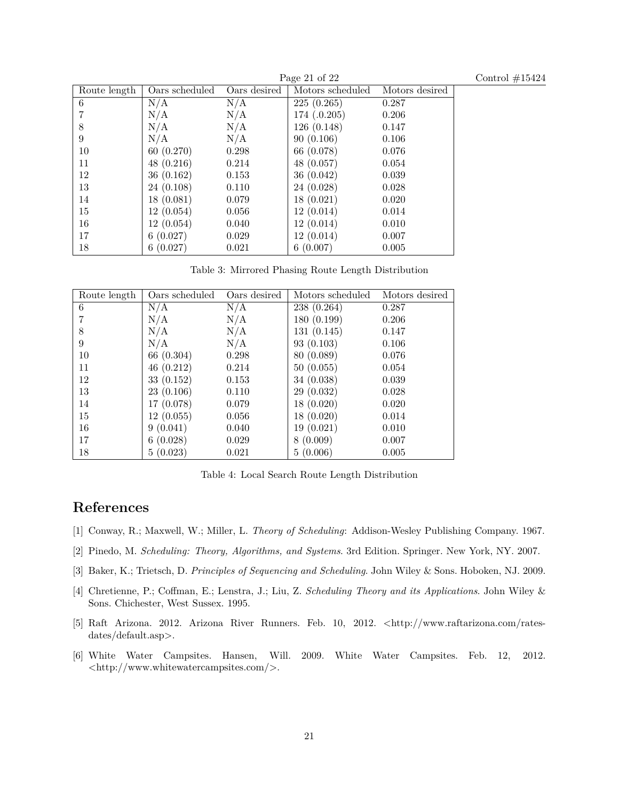| Control $\#15424$ |  |
|-------------------|--|
|                   |  |

|              | Page 21 of $22$ |              |                  |                |
|--------------|-----------------|--------------|------------------|----------------|
| Route length | Oars scheduled  | Oars desired | Motors scheduled | Motors desired |
| 6            | N/A             | N/A          | 225(0.265)       | 0.287          |
|              | N/A             | N/A          | 174(.0.205)      | 0.206          |
| 8            | N/A             | N/A          | 126(0.148)       | 0.147          |
| 9            | N/A             | N/A          | 90(0.106)        | 0.106          |
| 10           | 60(0.270)       | 0.298        | 66 (0.078)       | 0.076          |
| 11           | 48(0.216)       | 0.214        | 48 (0.057)       | 0.054          |
| 12           | 36(0.162)       | 0.153        | 36(0.042)        | 0.039          |
| 13           | 24(0.108)       | 0.110        | 24 (0.028)       | 0.028          |
| 14           | 18(0.081)       | 0.079        | 18(0.021)        | 0.020          |
| 15           | 12(0.054)       | 0.056        | 12(0.014)        | 0.014          |
| 16           | 12(0.054)       | 0.040        | 12(0.014)        | 0.010          |
| 17           | 6(0.027)        | 0.029        | 12(0.014)        | 0.007          |
| 18           | 6(0.027)        | 0.021        | 6(0.007)         | 0.005          |

Table 3: Mirrored Phasing Route Length Distribution

| Route length | Oars scheduled | Oars desired | Motors scheduled | Motors desired |
|--------------|----------------|--------------|------------------|----------------|
| 6            | N/A            | N/A          | 238 (0.264)      | 0.287          |
|              | N/A            | N/A          | 180 (0.199)      | 0.206          |
| 8            | N/A            | N/A          | 131(0.145)       | 0.147          |
| 9            | N/A            | N/A          | 93(0.103)        | 0.106          |
| 10           | 66 (0.304)     | 0.298        | 80 (0.089)       | 0.076          |
| 11           | 46(0.212)      | 0.214        | 50(0.055)        | 0.054          |
| 12           | 33(0.152)      | 0.153        | 34 (0.038)       | 0.039          |
| 13           | 23(0.106)      | 0.110        | 29(0.032)        | 0.028          |
| 14           | 17(0.078)      | 0.079        | 18(0.020)        | 0.020          |
| 15           | 12(0.055)      | 0.056        | 18(0.020)        | 0.014          |
| 16           | 9(0.041)       | 0.040        | 19(0.021)        | 0.010          |
| 17           | 6(0.028)       | 0.029        | 8(0.009)         | 0.007          |
| 18           | 5(0.023)       | 0.021        | 5(0.006)         | 0.005          |

Table 4: Local Search Route Length Distribution

# **References**

- [1] Conway, R.; Maxwell, W.; Miller, L. *Theory of Scheduling*: Addison-Wesley Publishing Company. 1967.
- [2] Pinedo, M. *Scheduling: Theory, Algorithms, and Systems*. 3rd Edition. Springer. New York, NY. 2007.
- [3] Baker, K.; Trietsch, D. *Principles of Sequencing and Scheduling*. John Wiley & Sons. Hoboken, NJ. 2009.
- [4] Chretienne, P.; Coffman, E.; Lenstra, J.; Liu, Z. *Scheduling Theory and its Applications*. John Wiley & Sons. Chichester, West Sussex. 1995.
- [5] Raft Arizona. 2012. Arizona River Runners. Feb. 10, 2012. *<*http://www.raftarizona.com/ratesdates/default.asp*>*.
- [6] White Water Campsites. Hansen, Will. 2009. White Water Campsites. Feb. 12, 2012. *<*http://www.whitewatercampsites.com/*>*.